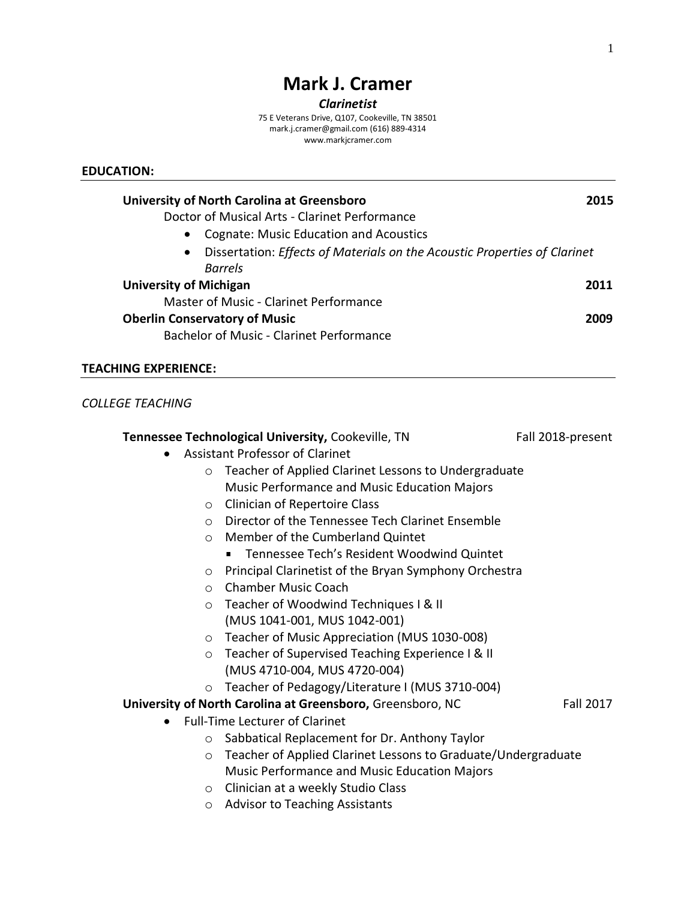# **Mark J. Cramer**

#### *Clarinetist*

75 E Veterans Drive, Q107, Cookeville, TN 38501 [mark.j.cramer@gmail.com](mailto:mark.j.cramer@gmail.com) (616) 889-4314 www.markjcramer.com

#### **EDUCATION:**

| University of North Carolina at Greensboro                                             | 2015 |
|----------------------------------------------------------------------------------------|------|
| Doctor of Musical Arts - Clarinet Performance                                          |      |
| <b>Cognate: Music Education and Acoustics</b><br>$\bullet$                             |      |
| Dissertation: Effects of Materials on the Acoustic Properties of Clarinet<br>$\bullet$ |      |
| <b>Barrels</b>                                                                         |      |
| <b>University of Michigan</b>                                                          | 2011 |
| Master of Music - Clarinet Performance                                                 |      |
| <b>Oberlin Conservatory of Music</b>                                                   | 2009 |
| <b>Bachelor of Music - Clarinet Performance</b>                                        |      |

## **TEACHING EXPERIENCE:**

## *COLLEGE TEACHING*

|                                                                 | Tennessee Technological University, Cookeville, TN            | Fall 2018-present |  |
|-----------------------------------------------------------------|---------------------------------------------------------------|-------------------|--|
| <b>Assistant Professor of Clarinet</b>                          |                                                               |                   |  |
| Teacher of Applied Clarinet Lessons to Undergraduate<br>$\circ$ |                                                               |                   |  |
|                                                                 | Music Performance and Music Education Majors                  |                   |  |
| $\circ$                                                         | <b>Clinician of Repertoire Class</b>                          |                   |  |
| $\circ$                                                         | Director of the Tennessee Tech Clarinet Ensemble              |                   |  |
| $\circ$                                                         | Member of the Cumberland Quintet                              |                   |  |
|                                                                 | Tennessee Tech's Resident Woodwind Quintet                    |                   |  |
| $\circ$                                                         | Principal Clarinetist of the Bryan Symphony Orchestra         |                   |  |
| $\circ$                                                         | <b>Chamber Music Coach</b>                                    |                   |  |
| $\circ$                                                         | Teacher of Woodwind Techniques I & II                         |                   |  |
|                                                                 | (MUS 1041-001, MUS 1042-001)                                  |                   |  |
| $\circ$                                                         | Teacher of Music Appreciation (MUS 1030-008)                  |                   |  |
| $\circ$                                                         | Teacher of Supervised Teaching Experience I & II              |                   |  |
|                                                                 | (MUS 4710-004, MUS 4720-004)                                  |                   |  |
| $\circ$                                                         | Teacher of Pedagogy/Literature I (MUS 3710-004)               |                   |  |
|                                                                 | University of North Carolina at Greensboro, Greensboro, NC    | <b>Fall 2017</b>  |  |
|                                                                 | <b>Full-Time Lecturer of Clarinet</b>                         |                   |  |
| $\circ$                                                         | Sabbatical Replacement for Dr. Anthony Taylor                 |                   |  |
| $\circ$                                                         | Teacher of Applied Clarinet Lessons to Graduate/Undergraduate |                   |  |
|                                                                 | <b>Music Performance and Music Education Majors</b>           |                   |  |
| $\circ$                                                         | Clinician at a weekly Studio Class                            |                   |  |
| $\circ$                                                         | <b>Advisor to Teaching Assistants</b>                         |                   |  |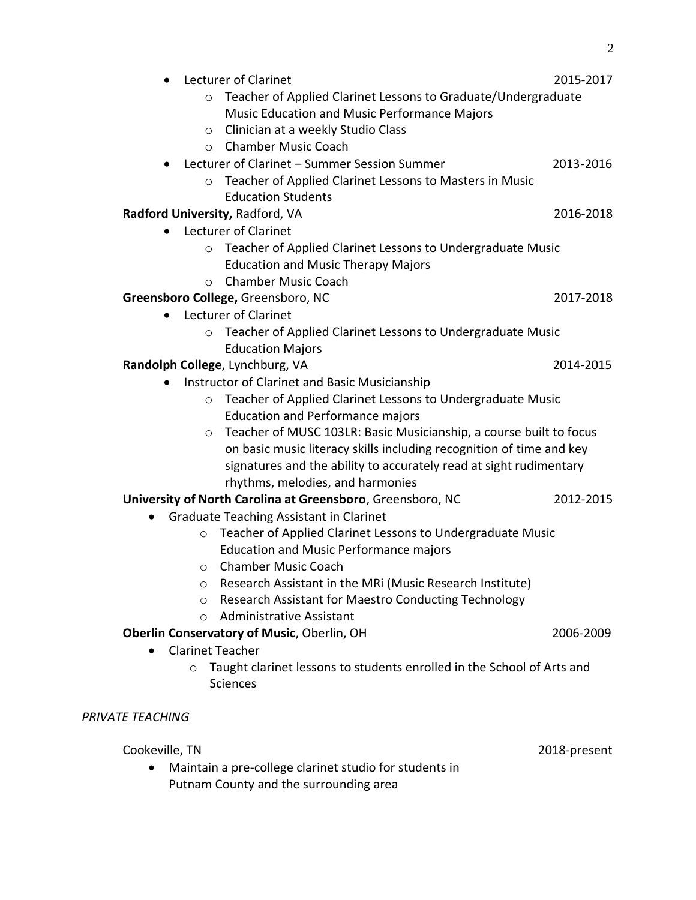| $\bullet$               |            | Lecturer of Clarinet                                                   | 2015-2017    |
|-------------------------|------------|------------------------------------------------------------------------|--------------|
|                         | $\circ$    | Teacher of Applied Clarinet Lessons to Graduate/Undergraduate          |              |
|                         |            | Music Education and Music Performance Majors                           |              |
|                         | $\circ$    | Clinician at a weekly Studio Class                                     |              |
|                         | $\circ$    | <b>Chamber Music Coach</b>                                             |              |
|                         |            | Lecturer of Clarinet - Summer Session Summer                           | 2013-2016    |
|                         | $\circ$    | Teacher of Applied Clarinet Lessons to Masters in Music                |              |
|                         |            | <b>Education Students</b>                                              |              |
|                         |            | Radford University, Radford, VA                                        | 2016-2018    |
| $\bullet$               |            | Lecturer of Clarinet                                                   |              |
|                         | $\circ$    | Teacher of Applied Clarinet Lessons to Undergraduate Music             |              |
|                         |            | <b>Education and Music Therapy Majors</b>                              |              |
|                         | $\circ$    | <b>Chamber Music Coach</b>                                             |              |
|                         |            | Greensboro College, Greensboro, NC                                     | 2017-2018    |
|                         |            | Lecturer of Clarinet                                                   |              |
|                         | $\circ$    | Teacher of Applied Clarinet Lessons to Undergraduate Music             |              |
|                         |            | <b>Education Majors</b>                                                |              |
|                         |            | Randolph College, Lynchburg, VA                                        | 2014-2015    |
|                         |            | Instructor of Clarinet and Basic Musicianship                          |              |
|                         | $\circ$    | Teacher of Applied Clarinet Lessons to Undergraduate Music             |              |
|                         |            | <b>Education and Performance majors</b>                                |              |
|                         | $\circ$    | Teacher of MUSC 103LR: Basic Musicianship, a course built to focus     |              |
|                         |            | on basic music literacy skills including recognition of time and key   |              |
|                         |            | signatures and the ability to accurately read at sight rudimentary     |              |
|                         |            | rhythms, melodies, and harmonies                                       |              |
|                         |            | University of North Carolina at Greensboro, Greensboro, NC             | 2012-2015    |
|                         |            | <b>Graduate Teaching Assistant in Clarinet</b>                         |              |
|                         | $\circ$    | Teacher of Applied Clarinet Lessons to Undergraduate Music             |              |
|                         |            | <b>Education and Music Performance majors</b>                          |              |
|                         | O          | <b>Chamber Music Coach</b>                                             |              |
|                         | $\circ$    | Research Assistant in the MRi (Music Research Institute)               |              |
|                         | $\circ$    | Research Assistant for Maestro Conducting Technology                   |              |
|                         | $\bigcirc$ | <b>Administrative Assistant</b>                                        |              |
|                         |            | Oberlin Conservatory of Music, Oberlin, OH                             | 2006-2009    |
|                         |            | <b>Clarinet Teacher</b>                                                |              |
|                         | $\circ$    | Taught clarinet lessons to students enrolled in the School of Arts and |              |
|                         |            | <b>Sciences</b>                                                        |              |
|                         |            |                                                                        |              |
| <b>PRIVATE TEACHING</b> |            |                                                                        |              |
|                         |            |                                                                        |              |
| Cookeville, TN          |            |                                                                        | 2018-present |
|                         |            | Maintain a pre-college clarinet studio for students in                 |              |
|                         |            | Putnam County and the surrounding area                                 |              |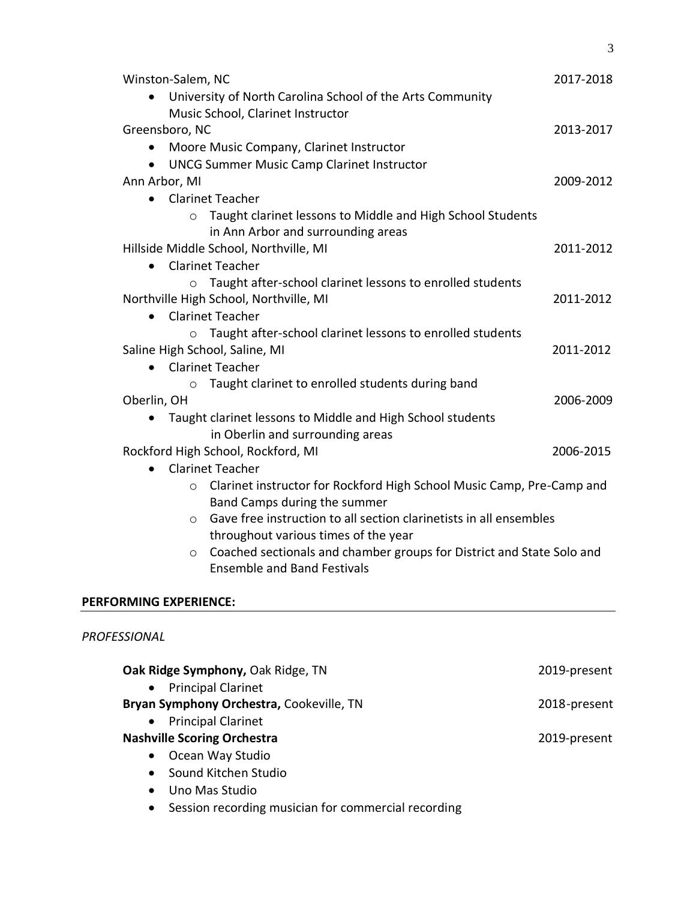| Winston-Salem, NC                                                                | 2017-2018 |
|----------------------------------------------------------------------------------|-----------|
| University of North Carolina School of the Arts Community                        |           |
| Music School, Clarinet Instructor                                                |           |
| Greensboro, NC                                                                   | 2013-2017 |
| Moore Music Company, Clarinet Instructor                                         |           |
| <b>UNCG Summer Music Camp Clarinet Instructor</b>                                |           |
| Ann Arbor, MI                                                                    | 2009-2012 |
| <b>Clarinet Teacher</b><br>$\bullet$                                             |           |
| Taught clarinet lessons to Middle and High School Students<br>$\circ$            |           |
| in Ann Arbor and surrounding areas                                               |           |
| Hillside Middle School, Northville, MI                                           | 2011-2012 |
| <b>Clarinet Teacher</b><br>$\bullet$                                             |           |
| o Taught after-school clarinet lessons to enrolled students                      |           |
| Northville High School, Northville, MI                                           | 2011-2012 |
| <b>Clarinet Teacher</b><br>$\bullet$                                             |           |
| Taught after-school clarinet lessons to enrolled students<br>$\circ$             |           |
| Saline High School, Saline, MI                                                   | 2011-2012 |
| <b>Clarinet Teacher</b>                                                          |           |
| Taught clarinet to enrolled students during band<br>$\circ$                      |           |
| Oberlin, OH                                                                      | 2006-2009 |
| Taught clarinet lessons to Middle and High School students                       |           |
| in Oberlin and surrounding areas                                                 |           |
| Rockford High School, Rockford, MI                                               | 2006-2015 |
| <b>Clarinet Teacher</b><br>$\bullet$                                             |           |
| Clarinet instructor for Rockford High School Music Camp, Pre-Camp and<br>$\circ$ |           |
| Band Camps during the summer                                                     |           |
| Gave free instruction to all section clarinetists in all ensembles<br>$\circ$    |           |
| throughout various times of the year                                             |           |
| Coached sectionals and chamber groups for District and State Solo and<br>$\circ$ |           |
| <b>Ensemble and Band Festivals</b>                                               |           |
|                                                                                  |           |

# **PERFORMING EXPERIENCE:**

## *PROFESSIONAL*

| Oak Ridge Symphony, Oak Ridge, TN                                | 2019-present |
|------------------------------------------------------------------|--------------|
| <b>Principal Clarinet</b><br>$\bullet$                           |              |
| Bryan Symphony Orchestra, Cookeville, TN                         | 2018-present |
| • Principal Clarinet                                             |              |
| <b>Nashville Scoring Orchestra</b>                               | 2019-present |
| Ocean Way Studio<br>$\bullet$                                    |              |
| Sound Kitchen Studio<br>$\bullet$                                |              |
| Uno Mas Studio<br>$\bullet$                                      |              |
| Session recording musician for commercial recording<br>$\bullet$ |              |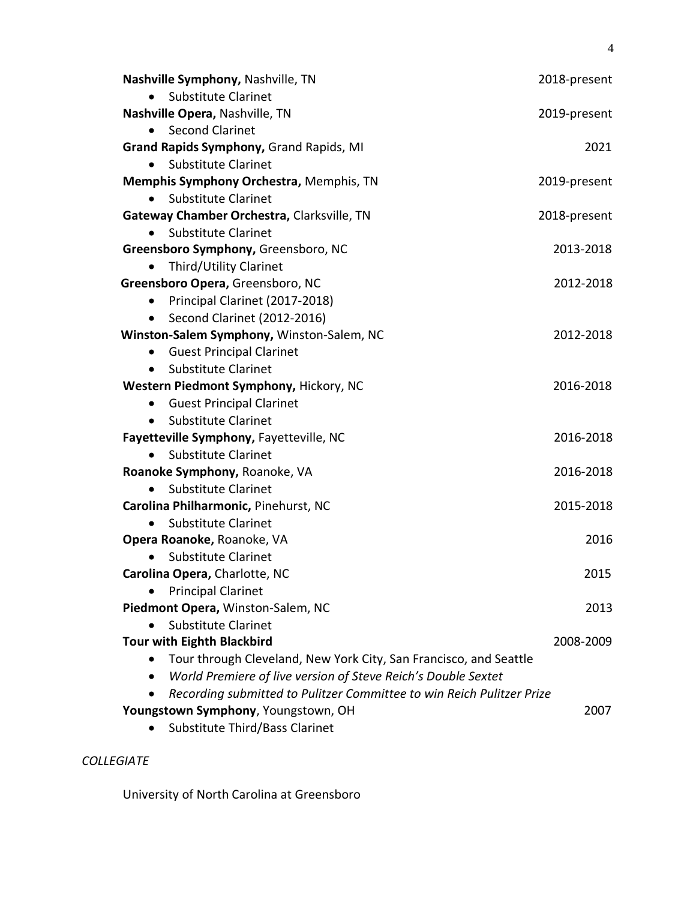| Nashville Symphony, Nashville, TN                                                  | 2018-present |
|------------------------------------------------------------------------------------|--------------|
| <b>Substitute Clarinet</b>                                                         |              |
| Nashville Opera, Nashville, TN                                                     | 2019-present |
| <b>Second Clarinet</b>                                                             |              |
| Grand Rapids Symphony, Grand Rapids, MI                                            | 2021         |
| Substitute Clarinet<br>$\bullet$                                                   |              |
| Memphis Symphony Orchestra, Memphis, TN                                            | 2019-present |
| <b>Substitute Clarinet</b>                                                         |              |
| Gateway Chamber Orchestra, Clarksville, TN                                         | 2018-present |
| <b>Substitute Clarinet</b>                                                         |              |
| Greensboro Symphony, Greensboro, NC                                                | 2013-2018    |
| Third/Utility Clarinet                                                             |              |
| Greensboro Opera, Greensboro, NC                                                   | 2012-2018    |
| Principal Clarinet (2017-2018)<br>$\bullet$                                        |              |
| Second Clarinet (2012-2016)<br>$\bullet$                                           |              |
| Winston-Salem Symphony, Winston-Salem, NC                                          | 2012-2018    |
| <b>Guest Principal Clarinet</b><br>$\bullet$                                       |              |
| <b>Substitute Clarinet</b><br>$\bullet$                                            |              |
| Western Piedmont Symphony, Hickory, NC                                             | 2016-2018    |
| <b>Guest Principal Clarinet</b><br>$\bullet$                                       |              |
| <b>Substitute Clarinet</b><br>$\bullet$                                            |              |
| Fayetteville Symphony, Fayetteville, NC                                            | 2016-2018    |
| <b>Substitute Clarinet</b>                                                         |              |
| Roanoke Symphony, Roanoke, VA                                                      | 2016-2018    |
| <b>Substitute Clarinet</b>                                                         |              |
| Carolina Philharmonic, Pinehurst, NC                                               | 2015-2018    |
| <b>Substitute Clarinet</b>                                                         |              |
| Opera Roanoke, Roanoke, VA                                                         | 2016         |
| <b>Substitute Clarinet</b>                                                         |              |
| Carolina Opera, Charlotte, NC                                                      | 2015         |
| <b>Principal Clarinet</b>                                                          |              |
| Piedmont Opera, Winston-Salem, NC                                                  | 2013         |
| <b>Substitute Clarinet</b>                                                         |              |
| <b>Tour with Eighth Blackbird</b>                                                  | 2008-2009    |
| Tour through Cleveland, New York City, San Francisco, and Seattle                  |              |
| World Premiere of live version of Steve Reich's Double Sextet                      |              |
| Recording submitted to Pulitzer Committee to win Reich Pulitzer Prize<br>$\bullet$ |              |
| Youngstown Symphony, Youngstown, OH                                                | 2007         |
| Substitute Third/Bass Clarinet                                                     |              |

## *COLLEGIATE*

University of North Carolina at Greensboro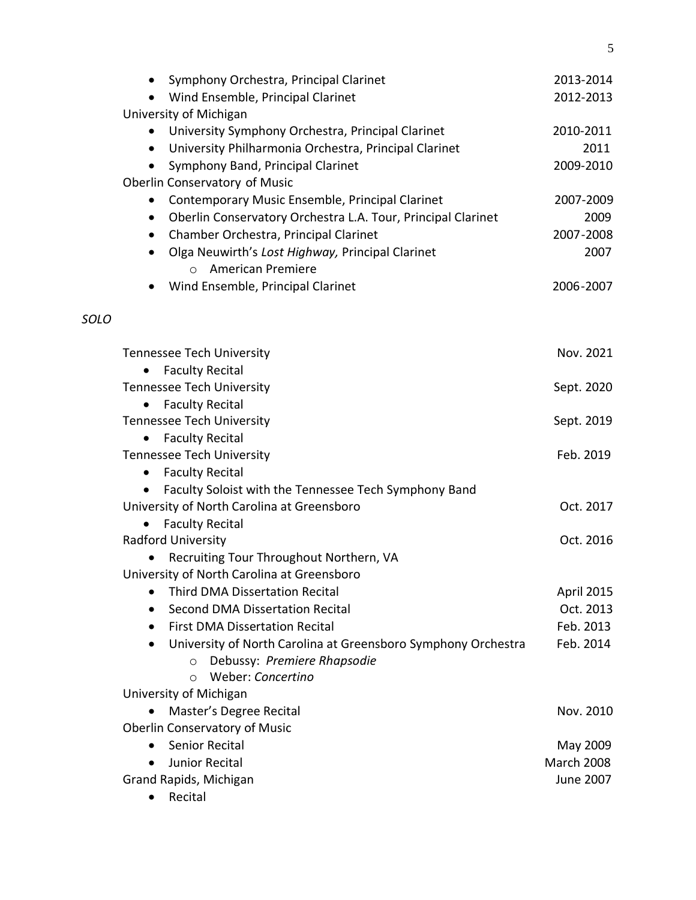|      | Symphony Orchestra, Principal Clarinet<br>$\bullet$<br>Wind Ensemble, Principal Clarinet          | 2013-2014<br>2012-2013  |
|------|---------------------------------------------------------------------------------------------------|-------------------------|
|      | University of Michigan                                                                            |                         |
|      | University Symphony Orchestra, Principal Clarinet                                                 | 2010-2011               |
|      | University Philharmonia Orchestra, Principal Clarinet<br>$\bullet$                                | 2011                    |
|      | Symphony Band, Principal Clarinet<br>$\bullet$                                                    | 2009-2010               |
|      | Oberlin Conservatory of Music                                                                     |                         |
|      | Contemporary Music Ensemble, Principal Clarinet<br>$\bullet$                                      | 2007-2009               |
|      | Oberlin Conservatory Orchestra L.A. Tour, Principal Clarinet<br>$\bullet$                         | 2009                    |
|      | Chamber Orchestra, Principal Clarinet<br>$\bullet$                                                | 2007-2008               |
|      | Olga Neuwirth's Lost Highway, Principal Clarinet<br>$\bullet$                                     | 2007                    |
|      | o American Premiere                                                                               |                         |
|      | Wind Ensemble, Principal Clarinet                                                                 | 2006-2007               |
| SOLO |                                                                                                   |                         |
|      | <b>Tennessee Tech University</b>                                                                  | Nov. 2021               |
|      | <b>Faculty Recital</b><br>$\bullet$                                                               |                         |
|      | <b>Tennessee Tech University</b>                                                                  | Sept. 2020              |
|      | <b>Faculty Recital</b><br>$\bullet$                                                               |                         |
|      | <b>Tennessee Tech University</b>                                                                  | Sept. 2019              |
|      | <b>Faculty Recital</b><br>$\bullet$                                                               |                         |
|      | <b>Tennessee Tech University</b>                                                                  | Feb. 2019               |
|      | <b>Faculty Recital</b><br>$\bullet$                                                               |                         |
|      | Faculty Soloist with the Tennessee Tech Symphony Band<br>$\bullet$                                |                         |
|      | University of North Carolina at Greensboro                                                        | Oct. 2017               |
|      | <b>Faculty Recital</b><br>Radford University                                                      | Oct. 2016               |
|      |                                                                                                   |                         |
|      | Recruiting Tour Throughout Northern, VA<br>University of North Carolina at Greensboro             |                         |
|      | <b>Third DMA Dissertation Recital</b>                                                             |                         |
|      | Second DMA Dissertation Recital                                                                   | April 2015<br>Oct. 2013 |
|      | <b>First DMA Dissertation Recital</b>                                                             | Feb. 2013               |
|      | $\bullet$                                                                                         | Feb. 2014               |
|      | University of North Carolina at Greensboro Symphony Orchestra<br>Debussy: Premiere Rhapsodie<br>O |                         |
|      | Weber: Concertino<br>$\circ$                                                                      |                         |
|      | University of Michigan                                                                            |                         |
|      | Master's Degree Recital                                                                           | Nov. 2010               |
|      | <b>Oberlin Conservatory of Music</b>                                                              |                         |
|      | <b>Senior Recital</b>                                                                             | May 2009                |
|      | <b>Junior Recital</b>                                                                             | <b>March 2008</b>       |
|      | Grand Rapids, Michigan                                                                            | June 2007               |
|      | Recital                                                                                           |                         |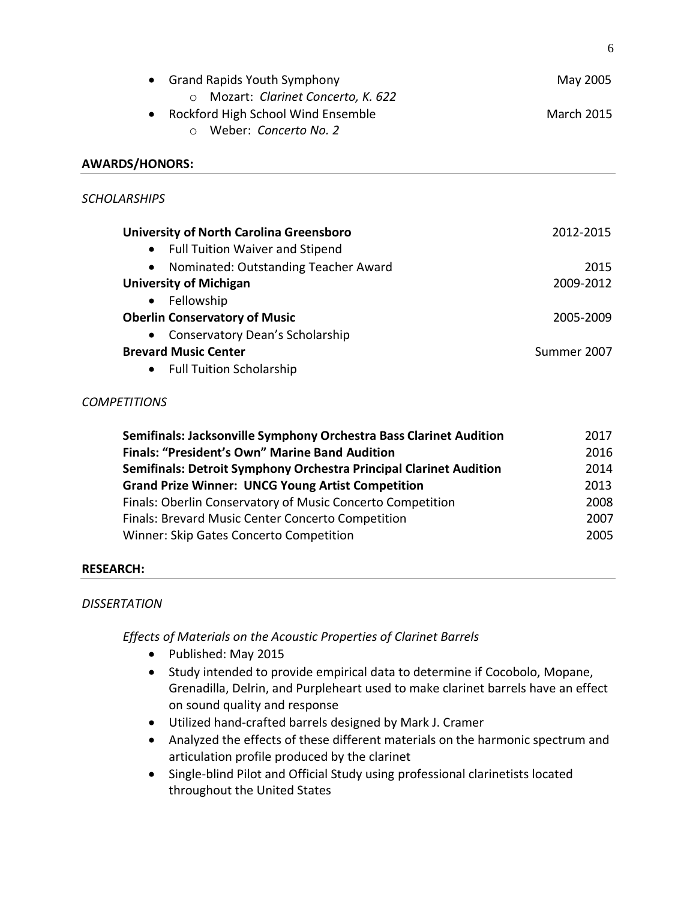| <b>Grand Rapids Youth Symphony</b>                                                                                          | May 2005          |  |
|-----------------------------------------------------------------------------------------------------------------------------|-------------------|--|
| O Mozart: Clarinet Concerto, K. 622<br>Rockford High School Wind Ensemble<br>$\bullet$<br>Weber: Concerto No. 2<br>$\Omega$ | <b>March 2015</b> |  |
| <b>AWARDS/HONORS:</b>                                                                                                       |                   |  |
| <b>SCHOLARSHIPS</b>                                                                                                         |                   |  |
| <b>University of North Carolina Greensboro</b>                                                                              | 2012-2015         |  |
| <b>Full Tuition Waiver and Stipend</b><br>$\bullet$                                                                         |                   |  |
| Nominated: Outstanding Teacher Award<br>$\bullet$                                                                           | 2015              |  |
| <b>University of Michigan</b>                                                                                               | 2009-2012         |  |
| Fellowship<br>$\bullet$                                                                                                     |                   |  |
| <b>Oberlin Conservatory of Music</b>                                                                                        | 2005-2009         |  |
| Conservatory Dean's Scholarship                                                                                             |                   |  |
| <b>Brevard Music Center</b>                                                                                                 | Summer 2007       |  |
| <b>Full Tuition Scholarship</b>                                                                                             |                   |  |

#### *COMPETITIONS*

| Semifinals: Jacksonville Symphony Orchestra Bass Clarinet Audition        | 2017 |
|---------------------------------------------------------------------------|------|
| <b>Finals: "President's Own" Marine Band Audition</b>                     | 2016 |
| <b>Semifinals: Detroit Symphony Orchestra Principal Clarinet Audition</b> | 2014 |
| <b>Grand Prize Winner: UNCG Young Artist Competition</b>                  | 2013 |
| Finals: Oberlin Conservatory of Music Concerto Competition                | 2008 |
| Finals: Brevard Music Center Concerto Competition                         | 2007 |
| Winner: Skip Gates Concerto Competition                                   | 2005 |

## **RESEARCH:**

## *DISSERTATION*

*Effects of Materials on the Acoustic Properties of Clarinet Barrels* 

- Published: May 2015
- Study intended to provide empirical data to determine if Cocobolo, Mopane, Grenadilla, Delrin, and Purpleheart used to make clarinet barrels have an effect on sound quality and response
- Utilized hand-crafted barrels designed by Mark J. Cramer
- Analyzed the effects of these different materials on the harmonic spectrum and articulation profile produced by the clarinet
- Single-blind Pilot and Official Study using professional clarinetists located throughout the United States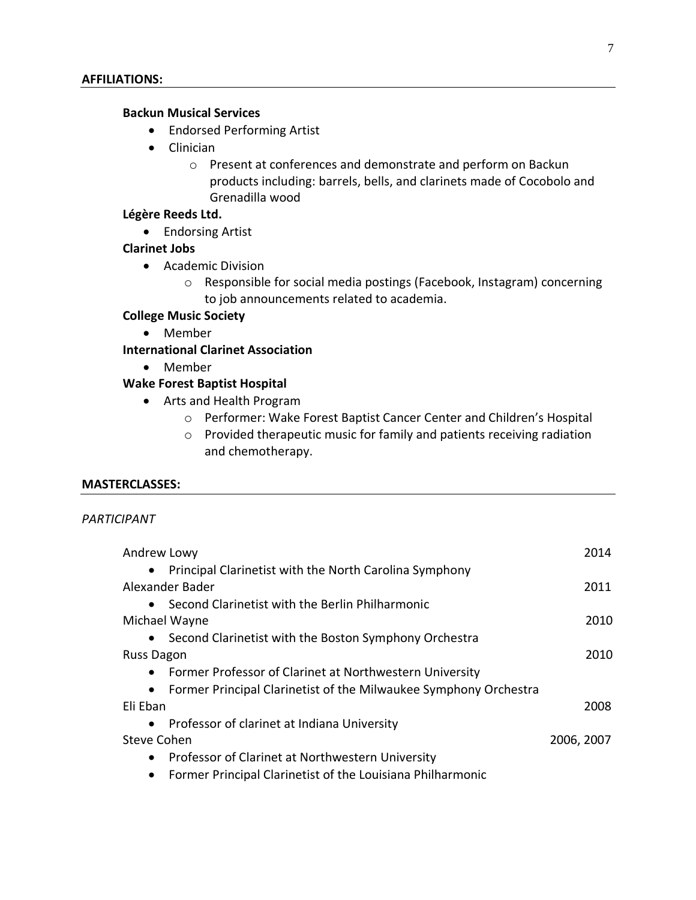#### **Backun Musical Services**

- Endorsed Performing Artist
- Clinician
	- o Present at conferences and demonstrate and perform on Backun products including: barrels, bells, and clarinets made of Cocobolo and Grenadilla wood

#### **Légère Reeds Ltd.**

• Endorsing Artist

#### **Clarinet Jobs**

- Academic Division
	- o Responsible for social media postings (Facebook, Instagram) concerning to job announcements related to academia.

#### **College Music Society**

• Member

**International Clarinet Association**

• Member

#### **Wake Forest Baptist Hospital**

- Arts and Health Program
	- o Performer: Wake Forest Baptist Cancer Center and Children's Hospital
	- o Provided therapeutic music for family and patients receiving radiation and chemotherapy.

#### **MASTERCLASSES:**

#### *PARTICIPANT*

| Andrew Lowy                                                                   | 2014       |
|-------------------------------------------------------------------------------|------------|
| Principal Clarinetist with the North Carolina Symphony<br>$\bullet$           |            |
| Alexander Bader                                                               | 2011       |
| • Second Clarinetist with the Berlin Philharmonic                             |            |
| Michael Wayne                                                                 | 2010       |
| • Second Clarinetist with the Boston Symphony Orchestra                       |            |
| <b>Russ Dagon</b>                                                             | 2010       |
| Former Professor of Clarinet at Northwestern University<br>$\bullet$          |            |
| Former Principal Clarinetist of the Milwaukee Symphony Orchestra<br>$\bullet$ |            |
| Eli Eban                                                                      | 2008       |
| Professor of clarinet at Indiana University<br>$\bullet$                      |            |
| Steve Cohen                                                                   | 2006, 2007 |
| Professor of Clarinet at Northwestern University<br>$\bullet$                 |            |
| Former Principal Clarinetist of the Louisiana Philharmonic                    |            |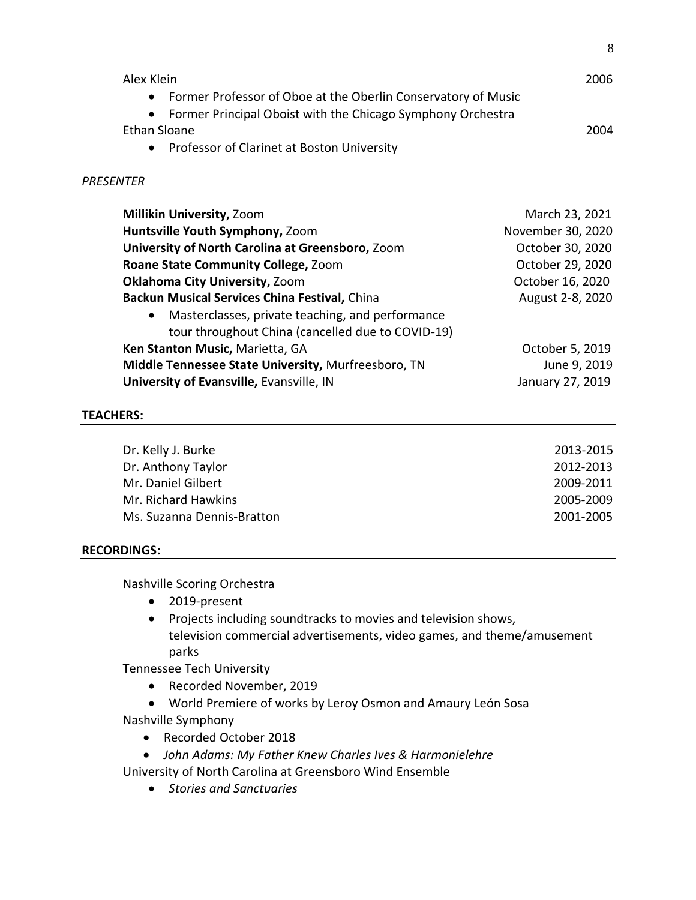| Alex Klein                                                                 | 2006 |
|----------------------------------------------------------------------------|------|
| Former Professor of Oboe at the Oberlin Conservatory of Music<br>$\bullet$ |      |
| • Former Principal Oboist with the Chicago Symphony Orchestra              |      |
| Ethan Sloane                                                               | 2004 |
| Professor of Clarinet at Boston University<br>$\bullet$                    |      |

#### *PRESENTER*

| <b>Millikin University, Zoom</b>                    | March 23, 2021    |
|-----------------------------------------------------|-------------------|
| Huntsville Youth Symphony, Zoom                     | November 30, 2020 |
| University of North Carolina at Greensboro, Zoom    | October 30, 2020  |
| Roane State Community College, Zoom                 | October 29, 2020  |
| <b>Oklahoma City University, Zoom</b>               | October 16, 2020  |
| Backun Musical Services China Festival, China       | August 2-8, 2020  |
| • Masterclasses, private teaching, and performance  |                   |
| tour throughout China (cancelled due to COVID-19)   |                   |
| Ken Stanton Music, Marietta, GA                     | October 5, 2019   |
| Middle Tennessee State University, Murfreesboro, TN | June 9, 2019      |
| University of Evansville, Evansville, IN            | January 27, 2019  |

#### **TEACHERS:**

| Dr. Kelly J. Burke         | 2013-2015 |
|----------------------------|-----------|
| Dr. Anthony Taylor         | 2012-2013 |
| Mr. Daniel Gilbert         | 2009-2011 |
| Mr. Richard Hawkins        | 2005-2009 |
| Ms. Suzanna Dennis-Bratton | 2001-2005 |

#### **RECORDINGS:**

Nashville Scoring Orchestra

- 2019-present
- Projects including soundtracks to movies and television shows, television commercial advertisements, video games, and theme/amusement parks

Tennessee Tech University

- Recorded November, 2019
- World Premiere of works by Leroy Osmon and Amaury León Sosa Nashville Symphony
	- Recorded October 2018
	- *John Adams: My Father Knew Charles Ives & Harmonielehre*

University of North Carolina at Greensboro Wind Ensemble

• *Stories and Sanctuaries*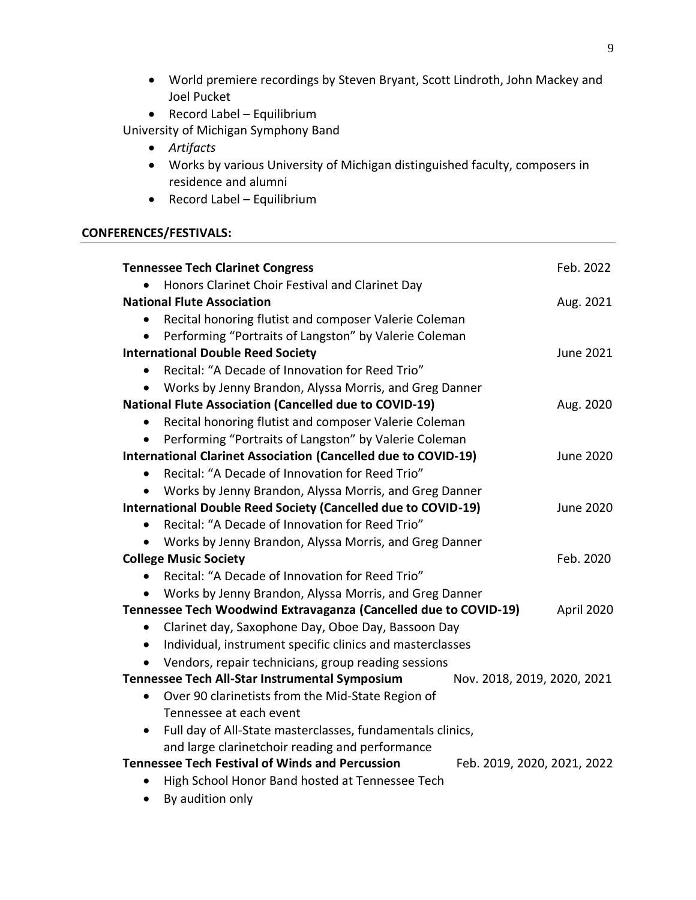- World premiere recordings by Steven Bryant, Scott Lindroth, John Mackey and Joel Pucket
- Record Label Equilibrium

University of Michigan Symphony Band

- *Artifacts*
- Works by various University of Michigan distinguished faculty, composers in residence and alumni
- Record Label Equilibrium

## **CONFERENCES/FESTIVALS:**

| <b>Tennessee Tech Clarinet Congress</b>                                 | Feb. 2022                   |
|-------------------------------------------------------------------------|-----------------------------|
| Honors Clarinet Choir Festival and Clarinet Day                         |                             |
| <b>National Flute Association</b>                                       | Aug. 2021                   |
| Recital honoring flutist and composer Valerie Coleman                   |                             |
| Performing "Portraits of Langston" by Valerie Coleman                   |                             |
| <b>International Double Reed Society</b>                                | June 2021                   |
| Recital: "A Decade of Innovation for Reed Trio"<br>$\bullet$            |                             |
| Works by Jenny Brandon, Alyssa Morris, and Greg Danner                  |                             |
| <b>National Flute Association (Cancelled due to COVID-19)</b>           | Aug. 2020                   |
| Recital honoring flutist and composer Valerie Coleman                   |                             |
| Performing "Portraits of Langston" by Valerie Coleman                   |                             |
| <b>International Clarinet Association (Cancelled due to COVID-19)</b>   | June 2020                   |
| Recital: "A Decade of Innovation for Reed Trio"<br>$\bullet$            |                             |
| Works by Jenny Brandon, Alyssa Morris, and Greg Danner                  |                             |
| <b>International Double Reed Society (Cancelled due to COVID-19)</b>    | <b>June 2020</b>            |
| Recital: "A Decade of Innovation for Reed Trio"<br>$\bullet$            |                             |
| Works by Jenny Brandon, Alyssa Morris, and Greg Danner                  |                             |
| <b>College Music Society</b>                                            | Feb. 2020                   |
| Recital: "A Decade of Innovation for Reed Trio"<br>$\bullet$            |                             |
| Works by Jenny Brandon, Alyssa Morris, and Greg Danner                  |                             |
| Tennessee Tech Woodwind Extravaganza (Cancelled due to COVID-19)        | April 2020                  |
| Clarinet day, Saxophone Day, Oboe Day, Bassoon Day<br>$\bullet$         |                             |
| Individual, instrument specific clinics and masterclasses<br>$\bullet$  |                             |
| Vendors, repair technicians, group reading sessions                     |                             |
| Tennessee Tech All-Star Instrumental Symposium                          | Nov. 2018, 2019, 2020, 2021 |
| Over 90 clarinetists from the Mid-State Region of<br>$\bullet$          |                             |
| Tennessee at each event                                                 |                             |
| Full day of All-State masterclasses, fundamentals clinics,<br>$\bullet$ |                             |
| and large clarinetchoir reading and performance                         |                             |
| <b>Tennessee Tech Festival of Winds and Percussion</b>                  | Feb. 2019, 2020, 2021, 2022 |
| High School Honor Band hosted at Tennessee Tech                         |                             |
| By audition only<br>$\bullet$                                           |                             |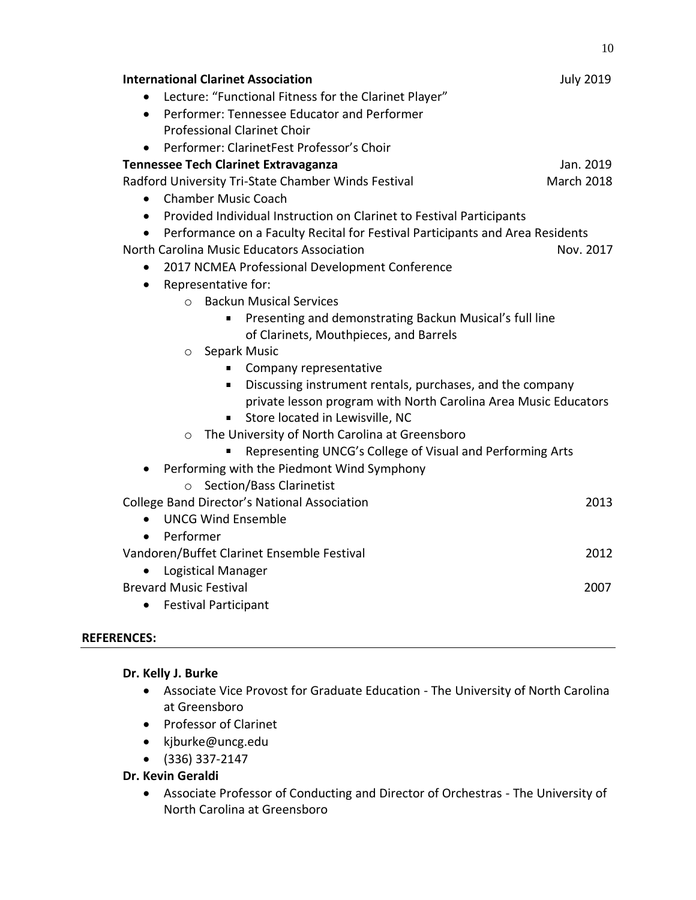| <b>International Clarinet Association</b>                                         | <b>July 2019</b>  |
|-----------------------------------------------------------------------------------|-------------------|
| Lecture: "Functional Fitness for the Clarinet Player"                             |                   |
| Performer: Tennessee Educator and Performer<br>$\bullet$                          |                   |
| <b>Professional Clarinet Choir</b>                                                |                   |
| Performer: ClarinetFest Professor's Choir                                         |                   |
| <b>Tennessee Tech Clarinet Extravaganza</b>                                       | Jan. 2019         |
| Radford University Tri-State Chamber Winds Festival                               | <b>March 2018</b> |
| <b>Chamber Music Coach</b><br>$\bullet$                                           |                   |
| Provided Individual Instruction on Clarinet to Festival Participants<br>$\bullet$ |                   |
| Performance on a Faculty Recital for Festival Participants and Area Residents     |                   |
| North Carolina Music Educators Association                                        | Nov. 2017         |
| 2017 NCMEA Professional Development Conference<br>$\bullet$                       |                   |
| Representative for:<br>$\bullet$                                                  |                   |
| <b>Backun Musical Services</b><br>$\Omega$                                        |                   |
| Presenting and demonstrating Backun Musical's full line<br>٠                      |                   |
| of Clarinets, Mouthpieces, and Barrels                                            |                   |
| Separk Music<br>$\circ$                                                           |                   |
| Company representative                                                            |                   |
| Discussing instrument rentals, purchases, and the company<br>٠                    |                   |
| private lesson program with North Carolina Area Music Educators                   |                   |
| Store located in Lewisville, NC                                                   |                   |
| The University of North Carolina at Greensboro<br>$\circ$                         |                   |
| Representing UNCG's College of Visual and Performing Arts                         |                   |
| Performing with the Piedmont Wind Symphony                                        |                   |
| ○ Section/Bass Clarinetist                                                        |                   |
| <b>College Band Director's National Association</b>                               | 2013              |
| <b>UNCG Wind Ensemble</b><br>$\bullet$                                            |                   |
| Performer<br>$\bullet$                                                            |                   |
| Vandoren/Buffet Clarinet Ensemble Festival                                        | 2012              |
| Logistical Manager                                                                |                   |
| <b>Brevard Music Festival</b>                                                     | 2007              |
| <b>Festival Participant</b><br>$\bullet$                                          |                   |

10

## **REFERENCES:**

#### **Dr. Kelly J. Burke**

- Associate Vice Provost for Graduate Education The University of North Carolina at Greensboro
- Professor of Clarinet
- [kjburke@uncg.edu](mailto:kjburke@uncg.edu)
- (336) 337-2147

# **Dr. Kevin Geraldi**

• Associate Professor of Conducting and Director of Orchestras - The University of North Carolina at Greensboro